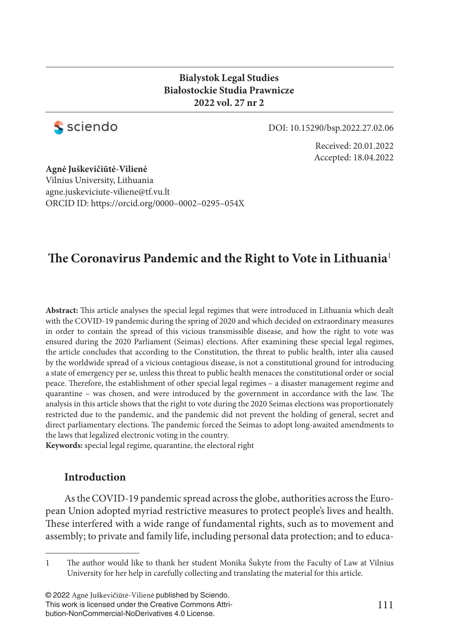## **Bialystok Legal Studies Białostockie Studia Prawnicze 2022 vol. 27 nr 2**



DOI: 10.15290/bsp.2022.27.02.06

Received: 20.01.2022 Accepted: 18.04.2022

**Agnė Juškevičiūtė-Vilienė** Vilnius University, Lithuania agne.juskeviciute-viliene@tf.vu.lt ORCID ID: https://orcid.org/0000–0002–0295–054X

# The Coronavirus Pandemic and the Right to Vote in Lithuania<sup>1</sup>

Abstract: This article analyses the special legal regimes that were introduced in Lithuania which dealt with the COVID-19 pandemic during the spring of 2020 and which decided on extraordinary measures in order to contain the spread of this vicious transmissible disease, and how the right to vote was ensured during the 2020 Parliament (Seimas) elections. After examining these special legal regimes, the article concludes that according to the Constitution, the threat to public health, inter alia caused by the worldwide spread of a vicious contagious disease, is not a constitutional ground for introducing a state of emergency per se, unless this threat to public health menaces the constitutional order or social peace. Therefore, the establishment of other special legal regimes – a disaster management regime and quarantine - was chosen, and were introduced by the government in accordance with the law. The analysis in this article shows that the right to vote during the 2020 Seimas elections was proportionately restricted due to the pandemic, and the pandemic did not prevent the holding of general, secret and direct parliamentary elections. The pandemic forced the Seimas to adopt long-awaited amendments to the laws that legalized electronic voting in the country.

**Keywords:** special legal regime, quarantine, the electoral right

## **Introduction**

As the COVID-19 pandemic spread across the globe, authorities across the European Union adopted myriad restrictive measures to protect people's lives and health. These interfered with a wide range of fundamental rights, such as to movement and assembly; to private and family life, including personal data protection; and to educa-

© 2022 Agnė Juškevičiūtė-Vilienė published by Sciendo. This work is licensed under the Creative Commons Attribution-NonCommercial-NoDerivatives 4.0 License.

<sup>1</sup> The author would like to thank her student Monika Šukyte from the Faculty of Law at Vilnius University for her help in carefully collecting and translating the material for this article.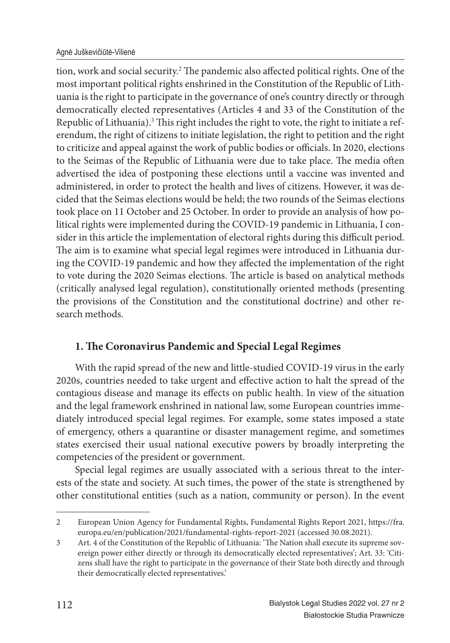tion, work and social security.<sup>2</sup> The pandemic also affected political rights. One of the most important political rights enshrined in the Constitution of the Republic of Lithuania is the right to participate in the governance of one's country directly or through democratically elected representatives (Articles 4 and 33 of the Constitution of the Republic of Lithuania).<sup>3</sup> This right includes the right to vote, the right to initiate a referendum, the right of citizens to initiate legislation, the right to petition and the right to criticize and appeal against the work of public bodies or officials. In 2020, elections to the Seimas of the Republic of Lithuania were due to take place. The media often advertised the idea of postponing these elections until a vaccine was invented and administered, in order to protect the health and lives of citizens. However, it was decided that the Seimas elections would be held; the two rounds of the Seimas elections took place on 11 October and 25 October. In order to provide an analysis of how political rights were implemented during the COVID-19 pandemic in Lithuania, I consider in this article the implementation of electoral rights during this difficult period. The aim is to examine what special legal regimes were introduced in Lithuania during the COVID-19 pandemic and how they affected the implementation of the right to vote during the 2020 Seimas elections. The article is based on analytical methods (critically analysed legal regulation), constitutionally oriented methods (presenting the provisions of the Constitution and the constitutional doctrine) and other research methods.

## **1. The Coronavirus Pandemic and Special Legal Regimes**

With the rapid spread of the new and little-studied COVID-19 virus in the early 2020s, countries needed to take urgent and effective action to halt the spread of the contagious disease and manage its effects on public health. In view of the situation and the legal framework enshrined in national law, some European countries immediately introduced special legal regimes. For example, some states imposed a state of emergency, others a quarantine or disaster management regime, and sometimes states exercised their usual national executive powers by broadly interpreting the competencies of the president or government.

Special legal regimes are usually associated with a serious threat to the interests of the state and society. At such times, the power of the state is strengthened by other constitutional entities (such as a nation, community or person). In the event

<sup>2</sup> European Union Agency for Fundamental Rights, Fundamental Rights Report 2021, https://fra. europa.eu/en/publication/2021/fundamental-rights-report-2021 (accessed 30.08.2021).

<sup>3</sup> Art. 4 of the Constitution of the Republic of Lithuania: 'The Nation shall execute its supreme sovereign power either directly or through its democratically elected representatives'; Art. 33: 'Citizens shall have the right to participate in the governance of their State both directly and through their democratically elected representatives.'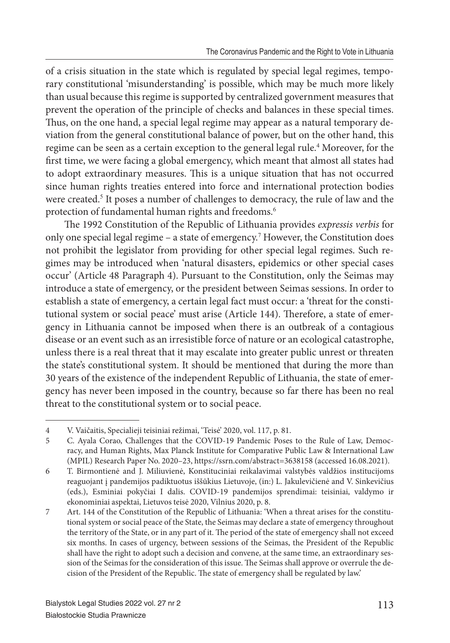of a crisis situation in the state which is regulated by special legal regimes, temporary constitutional 'misunderstanding' is possible, which may be much more likely than usual because this regime is supported by centralized government measures that prevent the operation of the principle of checks and balances in these special times. Thus, on the one hand, a special legal regime may appear as a natural temporary deviation from the general constitutional balance of power, but on the other hand, this regime can be seen as a certain exception to the general legal rule.<sup>4</sup> Moreover, for the first time, we were facing a global emergency, which meant that almost all states had to adopt extraordinary measures. This is a unique situation that has not occurred since human rights treaties entered into force and international protection bodies were created.<sup>5</sup> It poses a number of challenges to democracy, the rule of law and the protection of fundamental human rights and freedoms.<sup>6</sup>

The 1992 Constitution of the Republic of Lithuania provides expressis verbis for only one special legal regime – a state of emergency.<sup>7</sup> However, the Constitution does not prohibit the legislator from providing for other special legal regimes. Such regimes may be introduced when 'natural disasters, epidemics or other special cases occur' (Article 48 Paragraph 4). Pursuant to the Constitution, only the Seimas may introduce a state of emergency, or the president between Seimas sessions. In order to establish a state of emergency, a certain legal fact must occur: a 'threat for the constitutional system or social peace' must arise (Article 144). Therefore, a state of emergency in Lithuania cannot be imposed when there is an outbreak of a contagious disease or an event such as an irresistible force of nature or an ecological catastrophe, unless there is a real threat that it may escalate into greater public unrest or threaten the state's constitutional system. It should be mentioned that during the more than 30 years of the existence of the independent Republic of Lithuania, the state of emergency has never been imposed in the country, because so far there has been no real threat to the constitutional system or to social peace.

<sup>4</sup> V. Vaičaitis, Specialieji teisiniai režimai, 'Teisė' 2020, vol. 117, p. 81.

<sup>5</sup> C. Ayala Corao, Challenges that the COVID-19 Pandemic Poses to the Rule of Law, Democracy, and Human Rights, Max Planck Institute for Comparative Public Law & International Law (MPIL) Research Paper No. 2020–23, https://ssrn.com/abstract=3638158 (accessed 16.08.2021).

<sup>6</sup> T. Birmontienė and J. Miliuvienė, Konstituciniai reikalavimai valstybės valdžios institucijoms reaguojant į pandemijos padiktuotus iššūkius Lietuvoje, (in:) L. Jakulevičienė and V. Sinkevičius (eds.), Esminiai pokyčiai I dalis. COVID-19 pandemijos sprendimai: teisiniai, valdymo ir ekonominiai aspektai, Lietuvos teisė 2020, Vilnius 2020, p. 8.

<sup>7</sup> Art. 144 of the Constitution of the Republic of Lithuania: 'When a threat arises for the constitutional system or social peace of the State, the Seimas may declare a state of emergency throughout the territory of the State, or in any part of it. The period of the state of emergency shall not exceed six months. In cases of urgency, between sessions of the Seimas, the President of the Republic shall have the right to adopt such a decision and convene, at the same time, an extraordinary session of the Seimas for the consideration of this issue. The Seimas shall approve or overrule the decision of the President of the Republic. The state of emergency shall be regulated by law.'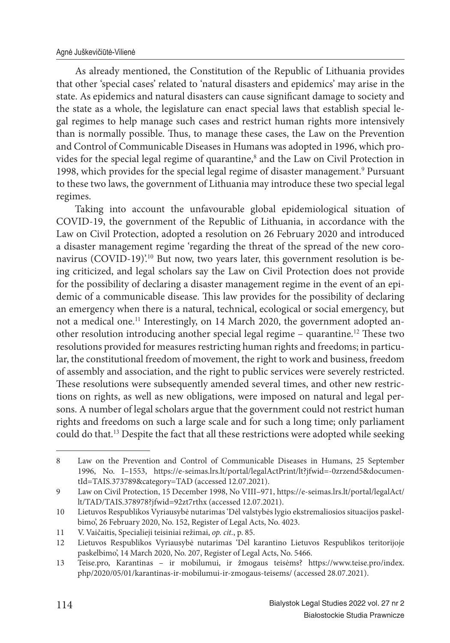As already mentioned, the Constitution of the Republic of Lithuania provides that other 'special cases' related to 'natural disasters and epidemics' may arise in the state. As epidemics and natural disasters can cause significant damage to society and the state as a whole, the legislature can enact special laws that establish special legal regimes to help manage such cases and restrict human rights more intensively than is normally possible. Thus, to manage these cases, the Law on the Prevention and Control of Communicable Diseases in Humans was adopted in 1996, which provides for the special legal regime of quarantine,<sup>8</sup> and the Law on Civil Protection in 1998, which provides for the special legal regime of disaster management.<sup>9</sup> Pursuant to these two laws, the government of Lithuania may introduce these two special legal regimes.

Taking into account the unfavourable global epidemiological situation of COVID-19, the government of the Republic of Lithuania, in accordance with the Law on Civil Protection, adopted a resolution on 26 February 2020 and introduced a disaster management regime 'regarding the threat of the spread of the new coronavirus (COVID-19)'.<sup>10</sup> But now, two years later, this government resolution is being criticized, and legal scholars say the Law on Civil Protection does not provide for the possibility of declaring a disaster management regime in the event of an epidemic of a communicable disease. This law provides for the possibility of declaring an emergency when there is a natural, technical, ecological or social emergency, but not a medical one.<sup>11</sup> Interestingly, on 14 March 2020, the government adopted another resolution introducing another special legal regime – quarantine.<sup>12</sup> These two resolutions provided for measures restricting human rights and freedoms; in particular, the constitutional freedom of movement, the right to work and business, freedom of assembly and association, and the right to public services were severely restricted. These resolutions were subsequently amended several times, and other new restrictions on rights, as well as new obligations, were imposed on natural and legal persons. A number of legal scholars argue that the government could not restrict human rights and freedoms on such a large scale and for such a long time; only parliament could do that.<sup>13</sup> Despite the fact that all these restrictions were adopted while seeking

<sup>8</sup> Law on the Prevention and Control of Communicable Diseases in Humans, 25 September 1996, No. I–1553, https://e-seimas.lrs.lt/portal/legalActPrint/lt?jfwid=-0zrzend5&documentId=TAIS.373789&category=TAD (accessed 12.07.2021).

<sup>9</sup> Law on Civil Protection, 15 December 1998, No VIII–971, https://e-seimas.lrs.lt/portal/legalAct/ lt/TAD/TAIS.378978?jfwid=92zt7rthx (accessed 12.07.2021).

<sup>10</sup> Lietuvos Respublikos Vyriausybė nutarimas 'Dėl valstybės lygio ekstremaliosios situacijos paskelbimo', 26 February 2020, No. 152, Register of Legal Acts, No. 4023.

<sup>11</sup> V. Vaičaitis, Specialieji teisiniai režimai, *op. cit.*, p. 85.

<sup>12</sup> Lietuvos Respublikos Vyriausybė nutarimas 'Dėl karantino Lietuvos Respublikos teritorijoje paskelbimo', 14 March 2020, No. 207, Register of Legal Acts, No. 5466.

<sup>13</sup> Teise.pro, Karantinas – ir mobilumui, ir žmogaus teisėms? https://www.teise.pro/index. php/2020/05/01/karantinas-ir-mobilumui-ir-zmogaus-teisems/ (accessed 28.07.2021).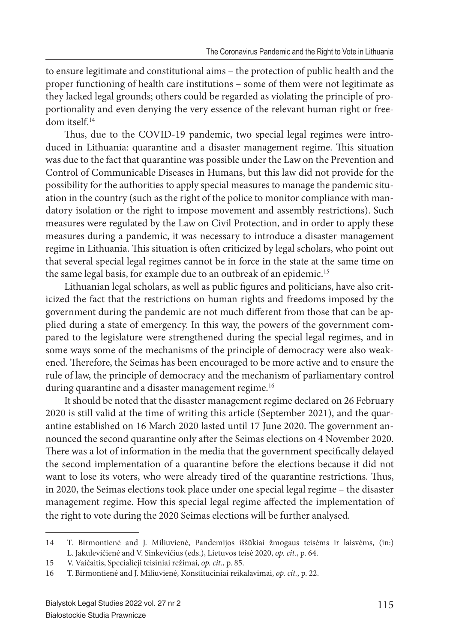to ensure legitimate and constitutional aims – the protection of public health and the proper functioning of health care institutions – some of them were not legitimate as they lacked legal grounds; others could be regarded as violating the principle of proportionality and even denying the very essence of the relevant human right or freedom itself.<sup>14</sup>

Thus, due to the COVID-19 pandemic, two special legal regimes were introduced in Lithuania: quarantine and a disaster management regime. This situation was due to the fact that quarantine was possible under the Law on the Prevention and Control of Communicable Diseases in Humans, but this law did not provide for the possibility for the authorities to apply special measures to manage the pandemic situation in the country (such as the right of the police to monitor compliance with mandatory isolation or the right to impose movement and assembly restrictions). Such measures were regulated by the Law on Civil Protection, and in order to apply these measures during a pandemic, it was necessary to introduce a disaster management regime in Lithuania. This situation is often criticized by legal scholars, who point out that several special legal regimes cannot be in force in the state at the same time on the same legal basis, for example due to an outbreak of an epidemic.<sup>15</sup>

Lithuanian legal scholars, as well as public figures and politicians, have also criticized the fact that the restrictions on human rights and freedoms imposed by the government during the pandemic are not much different from those that can be applied during a state of emergency. In this way, the powers of the government compared to the legislature were strengthened during the special legal regimes, and in some ways some of the mechanisms of the principle of democracy were also weakened. Therefore, the Seimas has been encouraged to be more active and to ensure the rule of law, the principle of democracy and the mechanism of parliamentary control during quarantine and a disaster management regime.<sup>16</sup>

It should be noted that the disaster management regime declared on 26 February 2020 is still valid at the time of writing this article (September 2021), and the quarantine established on 16 March 2020 lasted until 17 June 2020. The government announced the second quarantine only after the Seimas elections on 4 November 2020. There was a lot of information in the media that the government specifically delayed the second implementation of a quarantine before the elections because it did not want to lose its voters, who were already tired of the quarantine restrictions. Thus, in 2020, the Seimas elections took place under one special legal regime – the disaster management regime. How this special legal regime affected the implementation of the right to vote during the 2020 Seimas elections will be further analysed.

<sup>14</sup> T. Birmontienė and J. Miliuvienė, Pandemijos iššūkiai žmogaus teisėms ir laisvėms, (in:) L. Jakulevičienė and V. Sinkevičius (eds.), Lietuvos teisė 2020, *op. cit.*, p. 64.

<sup>15</sup> V. Vaičaitis, Specialieji teisiniai režimai, *op. cit.*, p. 85.

<sup>16</sup> T. Birmontienė and J. Miliuvienė, Konstituciniai reikalavimai, *op. cit.*, p. 22.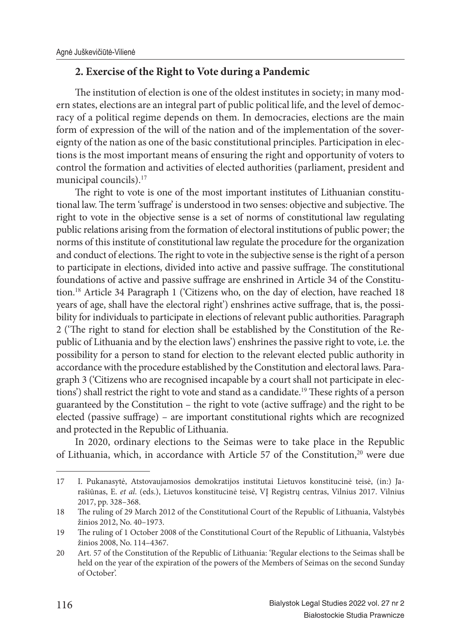## **2. Exercise of the Right to Vote during a Pandemic**

The institution of election is one of the oldest institutes in society; in many modern states, elections are an integral part of public political life, and the level of democracy of a political regime depends on them. In democracies, elections are the main form of expression of the will of the nation and of the implementation of the sovereignty of the nation as one of the basic constitutional principles. Participation in elections is the most important means of ensuring the right and opportunity of voters to control the formation and activities of elected authorities (parliament, president and municipal councils).<sup>17</sup>

The right to vote is one of the most important institutes of Lithuanian constitutional law. The term 'suffrage' is understood in two senses: objective and subjective. The right to vote in the objective sense is a set of norms of constitutional law regulating public relations arising from the formation of electoral institutions of public power; the norms of this institute of constitutional law regulate the procedure for the organization and conduct of elections. The right to vote in the subjective sense is the right of a person to participate in elections, divided into active and passive suffrage. The constitutional foundations of active and passive suffrage are enshrined in Article 34 of the Constitution.<sup>18</sup> Article 34 Paragraph 1 ('Citizens who, on the day of election, have reached 18 years of age, shall have the electoral right') enshrines active suffrage, that is, the possibility for individuals to participate in elections of relevant public authorities. Paragraph 2 ('The right to stand for election shall be established by the Constitution of the Republic of Lithuania and by the election laws') enshrines the passive right to vote, i.e. the possibility for a person to stand for election to the relevant elected public authority in accordance with the procedure established by the Constitution and electoral laws. Paragraph 3 ('Citizens who are recognised incapable by a court shall not participate in elections') shall restrict the right to vote and stand as a candidate.<sup>19</sup> These rights of a person guaranteed by the Constitution – the right to vote (active suffrage) and the right to be elected (passive suffrage) – are important constitutional rights which are recognized and protected in the Republic of Lithuania.

In 2020, ordinary elections to the Seimas were to take place in the Republic of Lithuania, which, in accordance with Article 57 of the Constitution,<sup>20</sup> were due

<sup>17</sup> I. Pukanasytė, Atstovaujamosios demokratijos institutai Lietuvos konstitucinė teisė, (in:) Jarašiūnas, E. *et al*. (eds.), Lietuvos konstitucinė teisė, VĮ Registrų centras, Vilnius 2017. Vilnius 2017, pp. 328–368.

<sup>18</sup> The ruling of 29 March 2012 of the Constitutional Court of the Republic of Lithuania, Valstybės žinios 2012, No. 40–1973.

<sup>19</sup> The ruling of 1 October 2008 of the Constitutional Court of the Republic of Lithuania, Valstybės žinios 2008, No. 114–4367.

<sup>20</sup> Art. 57 of the Constitution of the Republic of Lithuania: 'Regular elections to the Seimas shall be held on the year of the expiration of the powers of the Members of Seimas on the second Sunday of October'.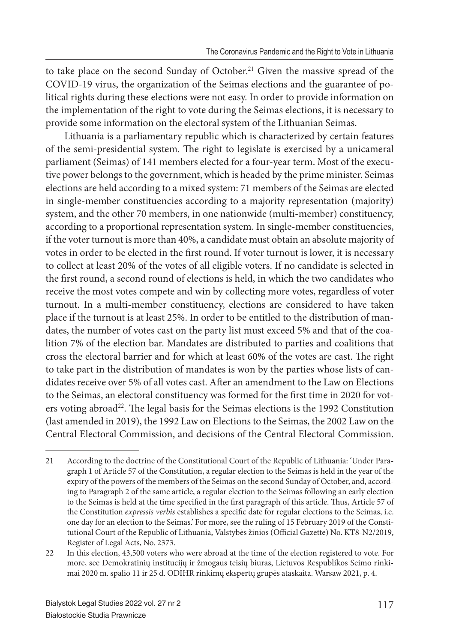to take place on the second Sunday of October.<sup>21</sup> Given the massive spread of the COVID-19 virus, the organization of the Seimas elections and the guarantee of political rights during these elections were not easy. In order to provide information on the implementation of the right to vote during the Seimas elections, it is necessary to provide some information on the electoral system of the Lithuanian Seimas.

Lithuania is a parliamentary republic which is characterized by certain features of the semi-presidential system. The right to legislate is exercised by a unicameral parliament (Seimas) of 141 members elected for a four-year term. Most of the executive power belongs to the government, which is headed by the prime minister. Seimas elections are held according to a mixed system: 71 members of the Seimas are elected in single-member constituencies according to a majority representation (majority) system, and the other 70 members, in one nationwide (multi-member) constituency, according to a proportional representation system. In single-member constituencies, if the voter turnout is more than 40%, a candidate must obtain an absolute majority of votes in order to be elected in the first round. If voter turnout is lower, it is necessary to collect at least 20% of the votes of all eligible voters. If no candidate is selected in the first round, a second round of elections is held, in which the two candidates who receive the most votes compete and win by collecting more votes, regardless of voter turnout. In a multi-member constituency, elections are considered to have taken place if the turnout is at least 25%. In order to be entitled to the distribution of mandates, the number of votes cast on the party list must exceed 5% and that of the coalition 7% of the election bar. Mandates are distributed to parties and coalitions that cross the electoral barrier and for which at least 60% of the votes are cast. The right to take part in the distribution of mandates is won by the parties whose lists of candidates receive over 5% of all votes cast. After an amendment to the Law on Elections to the Seimas, an electoral constituency was formed for the first time in 2020 for voters voting abroad<sup>22</sup>. The legal basis for the Seimas elections is the 1992 Constitution (last amended in 2019), the 1992 Law on Elections to the Seimas, the 2002 Law on the Central Electoral Commission, and decisions of the Central Electoral Commission.

<sup>21</sup> According to the doctrine of the Constitutional Court of the Republic of Lithuania: 'Under Paragraph 1 of Article 57 of the Constitution, a regular election to the Seimas is held in the year of the expiry of the powers of the members of the Seimas on the second Sunday of October, and, according to Paragraph 2 of the same article, a regular election to the Seimas following an early election to the Seimas is held at the time specified in the first paragraph of this article. Thus, Article 57 of the Constitution *expressis verbis* establishes a specific date for regular elections to the Seimas, i.e. one day for an election to the Seimas.' For more, see the ruling of 15 February 2019 of the Constitutional Court of the Republic of Lithuania, Valstybės žinios (Official Gazette) No. KT8-N2/2019, Register of Legal Acts, No. 2373.

<sup>22</sup> In this election, 43,500 voters who were abroad at the time of the election registered to vote. For more, see Demokratinių institucijų ir žmogaus teisių biuras, Lietuvos Respublikos Seimo rinkimai 2020 m. spalio 11 ir 25 d. ODIHR rinkimų ekspertų grupės ataskaita. Warsaw 2021, p. 4.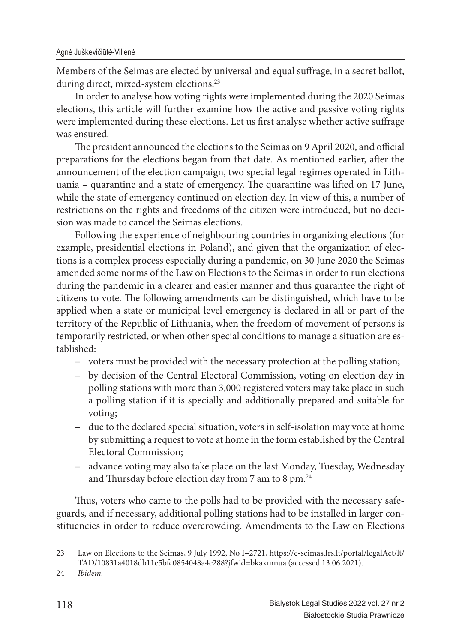Members of the Seimas are elected by universal and equal suffrage, in a secret ballot, during direct, mixed-system elections.<sup>23</sup>

In order to analyse how voting rights were implemented during the 2020 Seimas elections, this article will further examine how the active and passive voting rights were implemented during these elections. Let us first analyse whether active suffrage was ensured.

The president announced the elections to the Seimas on 9 April 2020, and official preparations for the elections began from that date. As mentioned earlier, after the announcement of the election campaign, two special legal regimes operated in Lithuania – quarantine and a state of emergency. The quarantine was lifted on 17 June, while the state of emergency continued on election day. In view of this, a number of restrictions on the rights and freedoms of the citizen were introduced, but no decision was made to cancel the Seimas elections.

Following the experience of neighbouring countries in organizing elections (for example, presidential elections in Poland), and given that the organization of elections is a complex process especially during a pandemic, on 30 June 2020 the Seimas amended some norms of the Law on Elections to the Seimas in order to run elections during the pandemic in a clearer and easier manner and thus guarantee the right of citizens to vote. The following amendments can be distinguished, which have to be applied when a state or municipal level emergency is declared in all or part of the territory of the Republic of Lithuania, when the freedom of movement of persons is temporarily restricted, or when other special conditions to manage a situation are established:

- voters must be provided with the necessary protection at the polling station;
- by decision of the Central Electoral Commission, voting on election day in polling stations with more than 3,000 registered voters may take place in such a polling station if it is specially and additionally prepared and suitable for voting;
- due to the declared special situation, voters in self-isolation may vote at home by submitting a request to vote at home in the form established by the Central Electoral Commission;
- advance voting may also take place on the last Monday, Tuesday, Wednesday and Thursday before election day from 7 am to 8 pm.<sup>24</sup>

Thus, voters who came to the polls had to be provided with the necessary safeguards, and if necessary, additional polling stations had to be installed in larger constituencies in order to reduce overcrowding. Amendments to the Law on Elections

<sup>23</sup> Law on Elections to the Seimas, 9 July 1992, No I–2721, https://e-seimas.lrs.lt/portal/legalAct/lt/ TAD/10831a4018db11e5bfc0854048a4e288?jfwid=bkaxmnua (accessed 13.06.2021).

<sup>24</sup> *Ibidem.*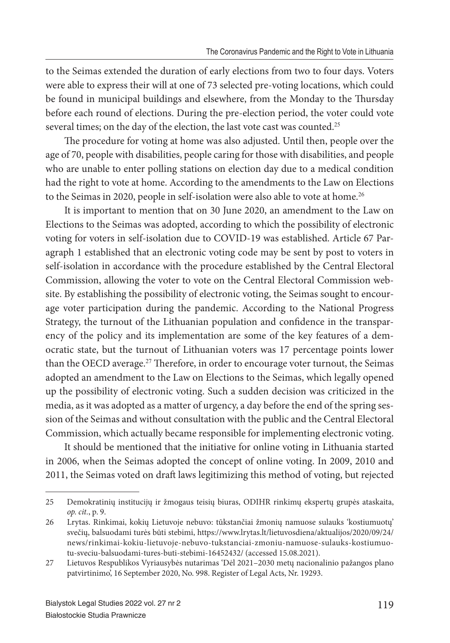to the Seimas extended the duration of early elections from two to four days. Voters were able to express their will at one of 73 selected pre-voting locations, which could be found in municipal buildings and elsewhere, from the Monday to the Thursday before each round of elections. During the pre-election period, the voter could vote several times; on the day of the election, the last vote cast was counted.<sup>25</sup>

The procedure for voting at home was also adjusted. Until then, people over the age of 70, people with disabilities, people caring for those with disabilities, and people who are unable to enter polling stations on election day due to a medical condition had the right to vote at home. According to the amendments to the Law on Elections to the Seimas in 2020, people in self-isolation were also able to vote at home.<sup>26</sup>

It is important to mention that on 30 June 2020, an amendment to the Law on Elections to the Seimas was adopted, according to which the possibility of electronic voting for voters in self-isolation due to COVID-19 was established. Article 67 Paragraph 1 established that an electronic voting code may be sent by post to voters in self-isolation in accordance with the procedure established by the Central Electoral Commission, allowing the voter to vote on the Central Electoral Commission website. By establishing the possibility of electronic voting, the Seimas sought to encourage voter participation during the pandemic. According to the National Progress Strategy, the turnout of the Lithuanian population and confidence in the transparency of the policy and its implementation are some of the key features of a democratic state, but the turnout of Lithuanian voters was 17 percentage points lower than the OECD average.<sup>27</sup> Therefore, in order to encourage voter turnout, the Seimas adopted an amendment to the Law on Elections to the Seimas, which legally opened up the possibility of electronic voting. Such a sudden decision was criticized in the media, as it was adopted as a matter of urgency, a day before the end of the spring session of the Seimas and without consultation with the public and the Central Electoral Commission, which actually became responsible for implementing electronic voting.

It should be mentioned that the initiative for online voting in Lithuania started in 2006, when the Seimas adopted the concept of online voting. In 2009, 2010 and 2011, the Seimas voted on draft laws legitimizing this method of voting, but rejected

<sup>25</sup> Demokratinių institucijų ir žmogaus teisių biuras, ODIHR rinkimų ekspertų grupės ataskaita, *op. cit.*, p. 9.

<sup>26</sup> Lrytas. Rinkimai, kokių Lietuvoje nebuvo: tūkstančiai žmonių namuose sulauks 'kostiumuotų' svečių, balsuodami turės būti stebimi, https://www.lrytas.lt/lietuvosdiena/aktualijos/2020/09/24/ news/rinkimai-kokiu-lietuvoje-nebuvo-tukstanciai-zmoniu-namuose-sulauks-kostiumuotu-sveciu-balsuodami-tures-buti-stebimi-16452432/ (accessed 15.08.2021).

<sup>27</sup> Lietuvos Respublikos Vyriausybės nutarimas 'Dėl 2021–2030 metų nacionalinio pažangos plano patvirtinimo', 16 September 2020, No. 998. Register of Legal Acts, Nr. 19293.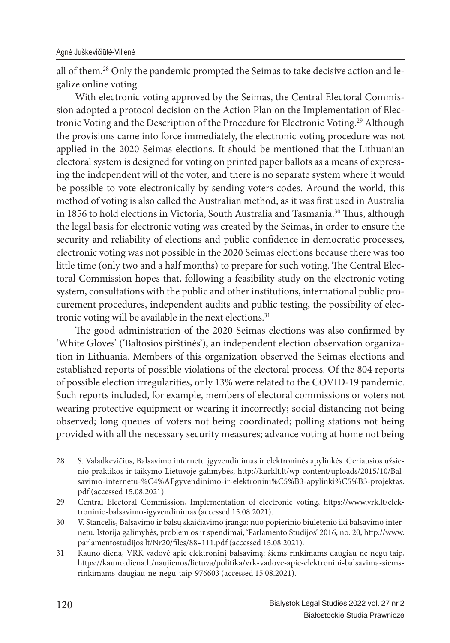all of them.28 Only the pandemic prompted the Seimas to take decisive action and legalize online voting.

With electronic voting approved by the Seimas, the Central Electoral Commission adopted a protocol decision on the Action Plan on the Implementation of Electronic Voting and the Description of the Procedure for Electronic Voting.<sup>29</sup> Although the provisions came into force immediately, the electronic voting procedure was not applied in the 2020 Seimas elections. It should be mentioned that the Lithuanian electoral system is designed for voting on printed paper ballots as a means of expressing the independent will of the voter, and there is no separate system where it would be possible to vote electronically by sending voters codes. Around the world, this method of voting is also called the Australian method, as it was first used in Australia in 1856 to hold elections in Victoria, South Australia and Tasmania.<sup>30</sup> Thus, although the legal basis for electronic voting was created by the Seimas, in order to ensure the security and reliability of elections and public confidence in democratic processes, electronic voting was not possible in the 2020 Seimas elections because there was too little time (only two and a half months) to prepare for such voting. The Central Electoral Commission hopes that, following a feasibility study on the electronic voting system, consultations with the public and other institutions, international public procurement procedures, independent audits and public testing, the possibility of electronic voting will be available in the next elections.<sup>31</sup>

The good administration of the 2020 Seimas elections was also confirmed by 'White Gloves' ('Baltosios pirštinės'), an independent election observation organization in Lithuania. Members of this organization observed the Seimas elections and established reports of possible violations of the electoral process. Of the 804 reports of possible election irregularities, only 13% were related to the COVID-19 pandemic. Such reports included, for example, members of electoral commissions or voters not wearing protective equipment or wearing it incorrectly; social distancing not being observed; long queues of voters not being coordinated; polling stations not being provided with all the necessary security measures; advance voting at home not being

<sup>28</sup> S. Valadkevičius, Balsavimo internetu įgyvendinimas ir elektroninės apylinkės. Geriausios užsienio praktikos ir taikymo Lietuvoje galimybės, http://kurklt.lt/wp-content/uploads/2015/10/Balsavimo-internetu-%C4%AFgyvendinimo-ir-elektronini%C5%B3-apylinki%C5%B3-projektas. pdf (accessed 15.08.2021).

<sup>29</sup> Central Electoral Commission, Implementation of electronic voting, https://www.vrk.lt/elektroninio-balsavimo-igyvendinimas (accessed 15.08.2021).

<sup>30</sup> V. Stancelis, Balsavimo ir balsų skaičiavimo įranga: nuo popierinio biuletenio iki balsavimo internetu. Istorija galimybės, problem os ir spendimai, 'Parlamento Studijos' 2016, no. 20, http://www. parlamentostudijos.lt/Nr20/files/88-111.pdf (accessed 15.08.2021).

<sup>31</sup> Kauno diena, VRK vadovė apie elektroninį balsavimą: šiems rinkimams daugiau ne negu taip, https://kauno.diena.lt/naujienos/lietuva/politika/vrk-vadove-apie-elektronini-balsavima-siemsrinkimams-daugiau-ne-negu-taip-976603 (accessed 15.08.2021).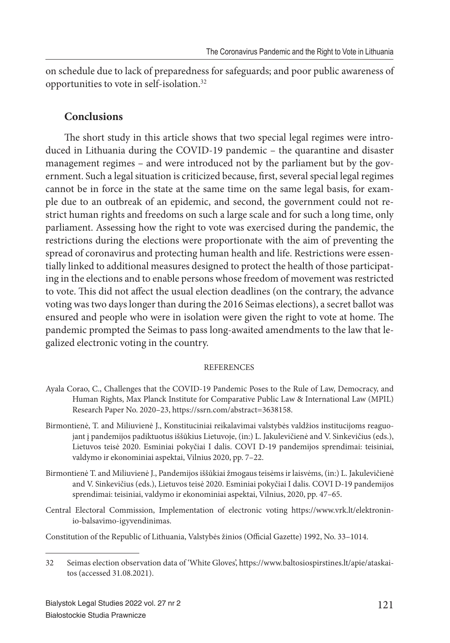on schedule due to lack of preparedness for safeguards; and poor public awareness of opportunities to vote in self-isolation.<sup>32</sup>

### **Conclusions**

The short study in this article shows that two special legal regimes were introduced in Lithuania during the COVID-19 pandemic – the quarantine and disaster management regimes – and were introduced not by the parliament but by the government. Such a legal situation is criticized because, first, several special legal regimes cannot be in force in the state at the same time on the same legal basis, for example due to an outbreak of an epidemic, and second, the government could not restrict human rights and freedoms on such a large scale and for such a long time, only parliament. Assessing how the right to vote was exercised during the pandemic, the restrictions during the elections were proportionate with the aim of preventing the spread of coronavirus and protecting human health and life. Restrictions were essentially linked to additional measures designed to protect the health of those participating in the elections and to enable persons whose freedom of movement was restricted to vote. This did not affect the usual election deadlines (on the contrary, the advance voting was two days longer than during the 2016 Seimas elections), a secret ballot was ensured and people who were in isolation were given the right to vote at home. The pandemic prompted the Seimas to pass long-awaited amendments to the law that legalized electronic voting in the country.

#### **REFERENCES**

- Ayala Corao, C., Challenges that the COVID-19 Pandemic Poses to the Rule of Law, Democracy, and Human Rights, Max Planck Institute for Comparative Public Law & International Law (MPIL) Research Paper No. 2020–23, https://ssrn.com/abstract=3638158.
- Birmontienė, T. and Miliuvienė J., Konstituciniai reikalavimai valstybės valdžios institucijoms reaguojant į pandemijos padiktuotus iššūkius Lietuvoje, (in:) L. Jakulevičienė and V. Sinkevičius (eds.), Lietuvos teisė 2020. Esminiai pokyčiai I dalis. COVI D-19 pandemijos sprendimai: teisiniai, valdymo ir ekonominiai aspektai, Vilnius 2020, pp. 7–22.
- Birmontienė T. and Miliuvienė J., Pandemijos iššūkiai žmogaus teisėms ir laisvėms, (in:) L. Jakulevičienė and V. Sinkevičius (eds.), Lietuvos teisė 2020. Esminiai pokyčiai I dalis. COVI D-19 pandemijos sprendimai: teisiniai, valdymo ir ekonominiai aspektai, Vilnius, 2020, pp. 47–65.
- Central Electoral Commission, Implementation of electronic voting https://www.vrk.lt/elektroninio-balsavimo-igyvendinimas.

Constitution of the Republic of Lithuania, Valstybės žinios (Official Gazette) 1992, No. 33-1014.

<sup>32</sup> Seimas election observation data of 'White Gloves', https://www.baltosiospirstines.lt/apie/ataskaitos (accessed 31.08.2021).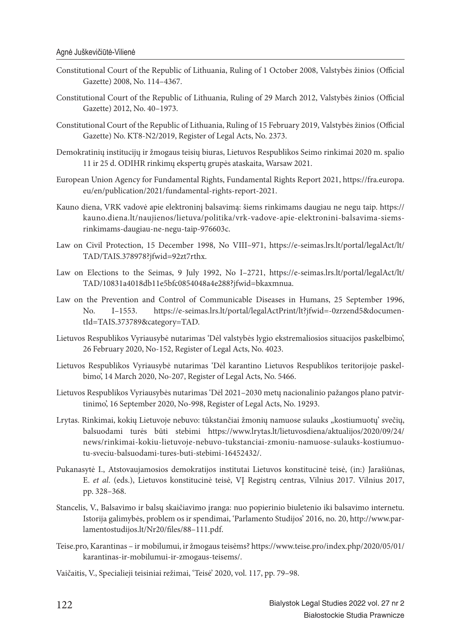- Constitutional Court of the Republic of Lithuania, Ruling of 1 October 2008, Valstybės žinios (Official Gazette) 2008, No. 114–4367.
- Constitutional Court of the Republic of Lithuania, Ruling of 29 March 2012, Valstybės žinios (Official Gazette) 2012, No. 40–1973.
- Constitutional Court of the Republic of Lithuania, Ruling of 15 February 2019, Valstybės žinios (Official Gazette) No. KT8-N2/2019, Register of Legal Acts, No. 2373.
- Demokratinių institucijų ir žmogaus teisių biuras, Lietuvos Respublikos Seimo rinkimai 2020 m. spalio 11 ir 25 d. ODIHR rinkimų ekspertų grupės ataskaita, Warsaw 2021.
- European Union Agency for Fundamental Rights, Fundamental Rights Report 2021, https://fra.europa. eu/en/publication/2021/fundamental-rights-report-2021.
- Kauno diena, VRK vadovė apie elektroninį balsavimą: šiems rinkimams daugiau ne negu taip. https:// kauno.diena.lt/naujienos/lietuva/politika/vrk-vadove-apie-elektronini-balsavima-siemsrinkimams-daugiau-ne-negu-taip-976603c.
- Law on Civil Protection, 15 December 1998, No VIII–971, https://e-seimas.lrs.lt/portal/legalAct/lt/ TAD/TAIS.378978?jfwid=92zt7rthx.
- Law on Elections to the Seimas, 9 July 1992, No I–2721, https://e-seimas.lrs.lt/portal/legalAct/lt/ TAD/10831a4018db11e5bfc0854048a4e288?jfwid=bkaxmnua.
- Law on the Prevention and Control of Communicable Diseases in Humans, 25 September 1996, No. I–1553. https://e-seimas.lrs.lt/portal/legalActPrint/lt?jfwid=-0zrzend5&documentId=TAIS.373789&category=TAD.
- Lietuvos Respublikos Vyriausybė nutarimas 'Dėl valstybės lygio ekstremaliosios situacijos paskelbimo', 26 February 2020, No-152, Register of Legal Acts, No. 4023.
- Lietuvos Respublikos Vyriausybė nutarimas 'Dėl karantino Lietuvos Respublikos teritorijoje paskelbimo', 14 March 2020, No-207, Register of Legal Acts, No. 5466.
- Lietuvos Respublikos Vyriausybės nutarimas 'Dėl 2021–2030 metų nacionalinio pažangos plano patvirtinimo', 16 September 2020, No-998, Register of Legal Acts, No. 19293.
- Lrytas. Rinkimai, kokių Lietuvoje nebuvo: tūkstančiai žmonių namuose sulauks "kostiumuotų' svečių, balsuodami turės būti stebimi https://www.lrytas.lt/lietuvosdiena/aktualijos/2020/09/24/ news/rinkimai-kokiu-lietuvoje-nebuvo-tukstanciai-zmoniu-namuose-sulauks-kostiumuotu-sveciu-balsuodami-tures-buti-stebimi-16452432/.
- Pukanasytė I., Atstovaujamosios demokratijos institutai Lietuvos konstitucinė teisė, (in:) Jarašiūnas, E. *et al*. (eds.), Lietuvos konstitucinė teisė, VĮ Registrų centras, Vilnius 2017. Vilnius 2017, pp. 328–368.
- Stancelis, V., Balsavimo ir balsų skaičiavimo įranga: nuo popierinio biuletenio iki balsavimo internetu. Istorija galimybės, problem os ir spendimai, 'Parlamento Studijos' 2016, no. 20, http://www.parlamentostudijos.lt/Nr20/files/88-111.pdf.
- Teise.pro, Karantinas ir mobilumui, ir žmogaus teisėms? https://www.teise.pro/index.php/2020/05/01/ karantinas-ir-mobilumui-ir-zmogaus-teisems/.

Vaičaitis, V., Specialieji teisiniai režimai, 'Teisė' 2020, vol. 117, pp. 79–98.